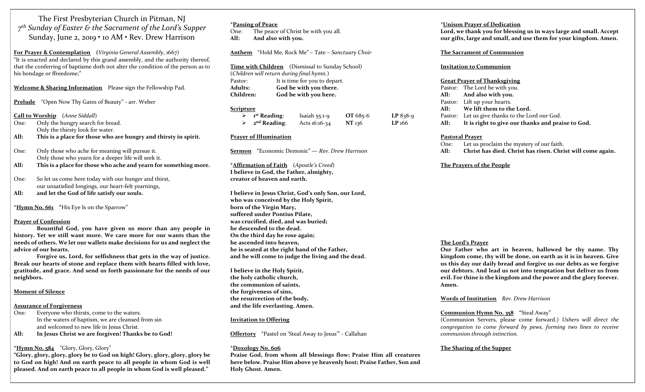The First Presbyterian Church in Pitman, NJ 7 th Sunday of Easter & the Sacrament of the Lord's Supper Sunday, June 2, 2019 • 10 AM • Rev. Drew Harrison

For Prayer & Contemplation (Virginia General Assembly, 1667) "It is enacted and declared by this grand assembly, and the authority thereof, that the conferring of baptisme doth not alter the condition of the person as to his bondage or ffreedome;"

#### Welcome & Sharing Information Please sign the Fellowship Pad.

Prelude "Open Now Thy Gates of Beauty" - arr. Weber

Call to Worship (Anne Siddall)

- One: Only the hungry search for bread. Only the thirsty look for water.
- All: This is a place for those who are hungry and thirsty in spirit.
- One: Only those who ache for meaning will pursue it. Only those who yearn for a deeper life will seek it.
- All: This is a place for those who ache and yearn for something more.
- One: So let us come here today with our hunger and thirst, our unsatisfied longings, our heart-felt yearnings, All: and let the God of life satisfy our souls.

\*Hymn No. 661 "His Eye Is on the Sparrow"

#### Prayer of Confession

 Bountiful God, you have given us more than any people in history. Yet we still want more. We care more for our wants than the needs of others. We let our wallets make decisions for us and neglect the advice of our hearts.

 Forgive us, Lord, for selfishness that gets in the way of justice. Break our hearts of stone and replace them with hearts filled with love, gratitude, and grace. And send us forth passionate for the needs of our neighbors.

#### Moment of Silence

#### Assurance of Forgiveness

- One: Everyone who thirsts, come to the waters. In the waters of baptism, we are cleansed from sin and welcomed to new life in Jesus Christ.
- All: In Jesus Christ we are forgiven! Thanks be to God!

#### $*Hvmn$  No. 584 "Glory, Glory, Glory"

"Glory, glory, glory, glory be to God on high! Glory, glory, glory, glory be to God on high! And on earth peace to all people in whom God is well pleased. And on earth peace to all people in whom God is well pleased."

# \*Passing of Peace One: The peace of Christ be with you all. All: And also with you. Anthem "Hold Me, Rock Me" - Tate - Sanctuary Choir

Time with Children (Dismissal to Sunday School) (Children will return during final hymn.) Pastor: It is time for you to depart. Adults: God be with you there. Children: God be with you here.

#### **Scripture**

| 1 <sup>st</sup> Reading: | Isaiah $55:1-9$ | OT 685-6 | $LP 838-9$ |
|--------------------------|-----------------|----------|------------|
| 2 <sup>nd</sup> Reading: | Acts 16:16-34   | NT 136   | LP 166     |

#### Prayer of Illumination

Sermon "Economic Demonic" — Rev. Drew Harrison

\*Affirmation of Faith (Apostle's Creed) I believe in God, the Father, almighty, creator of heaven and earth.

I believe in Jesus Christ, God's only Son, our Lord, who was conceived by the Holy Spirit, born of the Virgin Mary, suffered under Pontius Pilate, was crucified, died, and was buried; he descended to the dead. On the third day he rose again; he ascended into heaven, he is seated at the right hand of the Father, and he will come to judge the living and the dead.

I believe in the Holy Spirit, the holy catholic church, the communion of saints, the forgiveness of sins, the resurrection of the body, and the life everlasting. Amen.

#### Invitation to Offering

Offertory "Pastel on 'Steal Away to Jesus'" - Callahan

#### \*Doxology No. 606

Praise God, from whom all blessings flow; Praise Him all creatures here below. Praise Him above ye heavenly host; Praise Father, Son and Holy Ghost. Amen.

### \*Unison Prayer of Dedication

Lord, we thank you for blessing us in ways large and small. Accept our gifts, large and small, and use them for your kingdom. Amen.

#### The Sacrament of Communion

#### Invitation to Communion

#### Great Prayer of Thanksgiving

| Pastor: The Lord be with you.                          |  |
|--------------------------------------------------------|--|
| All: And also with you.                                |  |
| Pastor: Lift up your hearts.                           |  |
| All: We lift them to the Lord.                         |  |
| Pastor: Let us give thanks to the Lord our God.        |  |
| All: It is right to give our thanks and praise to God. |  |

#### Pastoral Prayer

One: Let us proclaim the mystery of our faith. All: Christ has died. Christ has risen. Christ will come again.

#### The Prayers of the People

#### The Lord's Prayer

Our Father who art in heaven, hallowed be thy name. Thy kingdom come, thy will be done, on earth as it is in heaven. Give us this day our daily bread and forgive us our debts as we forgive our debtors. And lead us not into temptation but deliver us from evil. For thine is the kingdom and the power and the glory forever. Amen.

#### Words of Institution Rev. Drew Harrison

#### Communion Hymn No. 358 "Steal Away"

(Communion Servers, please come forward.) Ushers will direct the congregation to come forward by pews, forming two lines to receive communion through intinction.

## The Sharing of the Supper